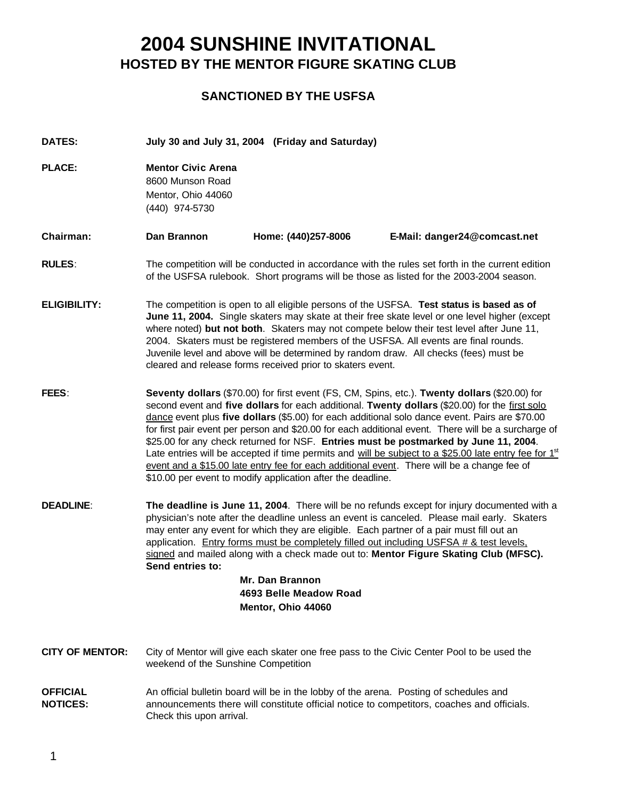## **2004 SUNSHINE INVITATIONAL HOSTED BY THE MENTOR FIGURE SKATING CLUB**

### **SANCTIONED BY THE USFSA**

**DATES: July 30 and July 31, 2004 (Friday and Saturday)**

**PLACE: Mentor Civic Arena** 8600 Munson Road Mentor, Ohio 44060 (440) 974-5730

**Chairman: Dan Brannon Home: (440)257-8006 E-Mail: danger24@comcast.net**

#### **RULES**: The competition will be conducted in accordance with the rules set forth in the current edition of the USFSA rulebook. Short programs will be those as listed for the 2003-2004 season.

- **ELIGIBILITY:** The competition is open to all eligible persons of the USFSA. **Test status is based as of June 11, 2004.** Single skaters may skate at their free skate level or one level higher (except where noted) **but not both**. Skaters may not compete below their test level after June 11, 2004. Skaters must be registered members of the USFSA. All events are final rounds. Juvenile level and above will be determined by random draw. All checks (fees) must be cleared and release forms received prior to skaters event.
- **FEES**: **Seventy dollars** (\$70.00) for first event (FS, CM, Spins, etc.). **Twenty dollars** (\$20.00) for second event and **five dollars** for each additional. **Twenty dollars** (\$20.00) for the first solo dance event plus **five dollars** (\$5.00) for each additional solo dance event. Pairs are \$70.00 for first pair event per person and \$20.00 for each additional event. There will be a surcharge of \$25.00 for any check returned for NSF. **Entries must be postmarked by June 11, 2004**. Late entries will be accepted if time permits and will be subject to a \$25.00 late entry fee for 1st event and a \$15.00 late entry fee for each additional event. There will be a change fee of \$10.00 per event to modify application after the deadline.
- **DEADLINE**: **The deadline is June 11, 2004**. There will be no refunds except for injury documented with a physician's note after the deadline unless an event is canceled. Please mail early. Skaters may enter any event for which they are eligible. Each partner of a pair must fill out an application. Entry forms must be completely filled out including USFSA # & test levels, signed and mailed along with a check made out to: **Mentor Figure Skating Club (MFSC). Send entries to:**

#### **Mr. Dan Brannon 4693 Belle Meadow Road Mentor, Ohio 44060**

**CITY OF MENTOR:** City of Mentor will give each skater one free pass to the Civic Center Pool to be used the weekend of the Sunshine Competition

**OFFICIAL NOTICES:** An official bulletin board will be in the lobby of the arena. Posting of schedules and announcements there will constitute official notice to competitors, coaches and officials. Check this upon arrival.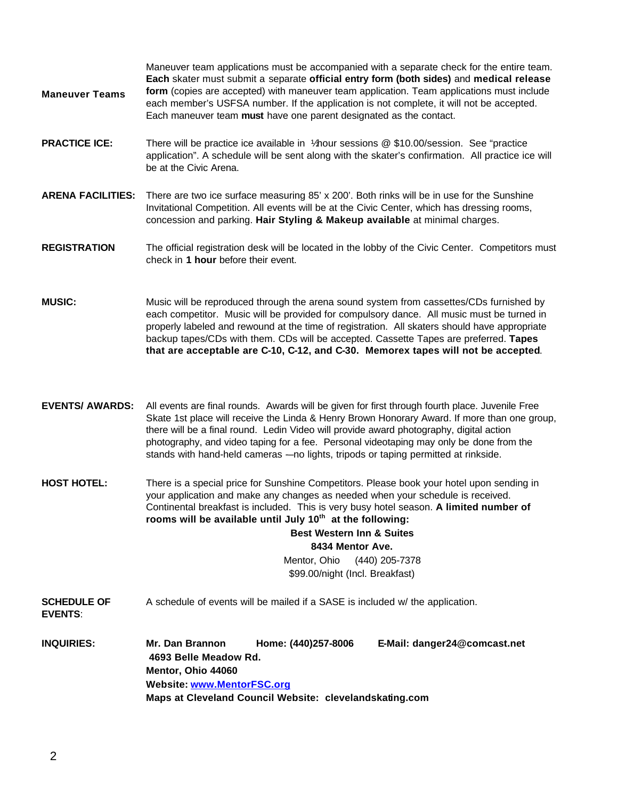| <b>Maneuver Teams</b>                | Maneuver team applications must be accompanied with a separate check for the entire team.<br>Each skater must submit a separate official entry form (both sides) and medical release<br>form (copies are accepted) with maneuver team application. Team applications must include<br>each member's USFSA number. If the application is not complete, it will not be accepted.<br>Each maneuver team must have one parent designated as the contact.                              |  |  |  |
|--------------------------------------|----------------------------------------------------------------------------------------------------------------------------------------------------------------------------------------------------------------------------------------------------------------------------------------------------------------------------------------------------------------------------------------------------------------------------------------------------------------------------------|--|--|--|
| <b>PRACTICE ICE:</b>                 | There will be practice ice available in 1/hour sessions @ \$10.00/session. See "practice<br>application". A schedule will be sent along with the skater's confirmation. All practice ice will<br>be at the Civic Arena.                                                                                                                                                                                                                                                          |  |  |  |
| <b>ARENA FACILITIES:</b>             | There are two ice surface measuring 85' x 200'. Both rinks will be in use for the Sunshine<br>Invitational Competition. All events will be at the Civic Center, which has dressing rooms,<br>concession and parking. Hair Styling & Makeup available at minimal charges.                                                                                                                                                                                                         |  |  |  |
| <b>REGISTRATION</b>                  | The official registration desk will be located in the lobby of the Civic Center. Competitors must<br>check in 1 hour before their event.                                                                                                                                                                                                                                                                                                                                         |  |  |  |
| <b>MUSIC:</b>                        | Music will be reproduced through the arena sound system from cassettes/CDs furnished by<br>each competitor. Music will be provided for compulsory dance. All music must be turned in<br>properly labeled and rewound at the time of registration. All skaters should have appropriate<br>backup tapes/CDs with them. CDs will be accepted. Cassette Tapes are preferred. Tapes<br>that are acceptable are C-10, C-12, and C-30. Memorex tapes will not be accepted.              |  |  |  |
| <b>EVENTS/ AWARDS:</b>               | All events are final rounds. Awards will be given for first through fourth place. Juvenile Free<br>Skate 1st place will receive the Linda & Henry Brown Honorary Award. If more than one group,<br>there will be a final round. Ledin Video will provide award photography, digital action<br>photography, and video taping for a fee. Personal videotaping may only be done from the<br>stands with hand-held cameras - no lights, tripods or taping permitted at rinkside.     |  |  |  |
| <b>HOST HOTEL:</b>                   | There is a special price for Sunshine Competitors. Please book your hotel upon sending in<br>your application and make any changes as needed when your schedule is received.<br>Continental breakfast is included. This is very busy hotel season. A limited number of<br>rooms will be available until July 10 <sup>th</sup> at the following:<br><b>Best Western Inn &amp; Suites</b><br>8434 Mentor Ave.<br>Mentor, Ohio<br>(440) 205-7378<br>\$99.00/night (Incl. Breakfast) |  |  |  |
| <b>SCHEDULE OF</b><br><b>EVENTS:</b> | A schedule of events will be mailed if a SASE is included w/ the application.                                                                                                                                                                                                                                                                                                                                                                                                    |  |  |  |
| <b>INQUIRIES:</b>                    | Mr. Dan Brannon<br>E-Mail: danger24@comcast.net<br>Home: (440)257-8006<br>4693 Belle Meadow Rd.<br>Mentor, Ohio 44060<br>Website: www.MentorFSC.org<br>Maps at Cleveland Council Website: clevelandskating.com                                                                                                                                                                                                                                                                   |  |  |  |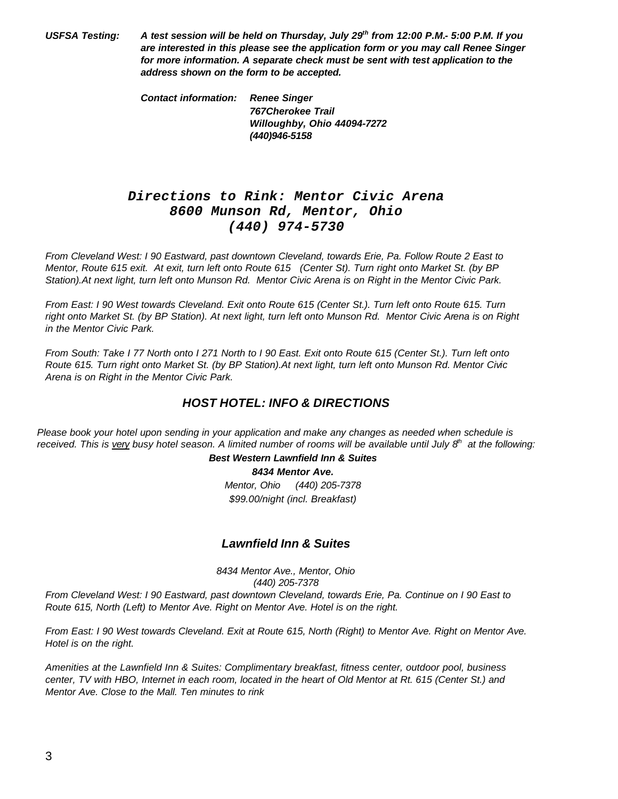*USFSA Testing: A test session will be held on Thursday, July 29th from 12:00 P.M.- 5:00 P.M. If you are interested in this please see the application form or you may call Renee Singer for more information. A separate check must be sent with test application to the address shown on the form to be accepted.*

> *Contact information: Renee Singer 767Cherokee Trail Willoughby, Ohio 44094-7272 (440)946-5158*

### *Directions to Rink: Mentor Civic Arena 8600 Munson Rd, Mentor, Ohio (440) 974-5730*

*From Cleveland West: I 90 Eastward, past downtown Cleveland, towards Erie, Pa. Follow Route 2 East to Mentor, Route 615 exit. At exit, turn left onto Route 615 (Center St). Turn right onto Market St. (by BP Station).At next light, turn left onto Munson Rd. Mentor Civic Arena is on Right in the Mentor Civic Park.*

*From East: I 90 West towards Cleveland. Exit onto Route 615 (Center St.). Turn left onto Route 615. Turn right onto Market St. (by BP Station). At next light, turn left onto Munson Rd. Mentor Civic Arena is on Right in the Mentor Civic Park.*

*From South: Take I 77 North onto I 271 North to I 90 East. Exit onto Route 615 (Center St.). Turn left onto Route 615. Turn right onto Market St. (by BP Station).At next light, turn left onto Munson Rd. Mentor Civic Arena is on Right in the Mentor Civic Park.*

### *HOST HOTEL: INFO & DIRECTIONS*

*Please book your hotel upon sending in your application and make any changes as needed when schedule is received. This is very busy hotel season. A limited number of rooms will be available until July 8<sup><i>th*</sup> at the following:

#### *Best Western Lawnfield Inn & Suites*

*8434 Mentor Ave.* 

*Mentor, Ohio (440) 205-7378 \$99.00/night (incl. Breakfast)* 

#### *Lawnfield Inn & Suites*

*8434 Mentor Ave., Mentor, Ohio (440) 205-7378*

*From Cleveland West: I 90 Eastward, past downtown Cleveland, towards Erie, Pa. Continue on I 90 East to Route 615, North (Left) to Mentor Ave. Right on Mentor Ave. Hotel is on the right.*

*From East: I 90 West towards Cleveland. Exit at Route 615, North (Right) to Mentor Ave. Right on Mentor Ave. Hotel is on the right.*

*Amenities at the Lawnfield Inn & Suites: Complimentary breakfast, fitness center, outdoor pool, business center, TV with HBO, Internet in each room, located in the heart of Old Mentor at Rt. 615 (Center St.) and Mentor Ave. Close to the Mall. Ten minutes to rink*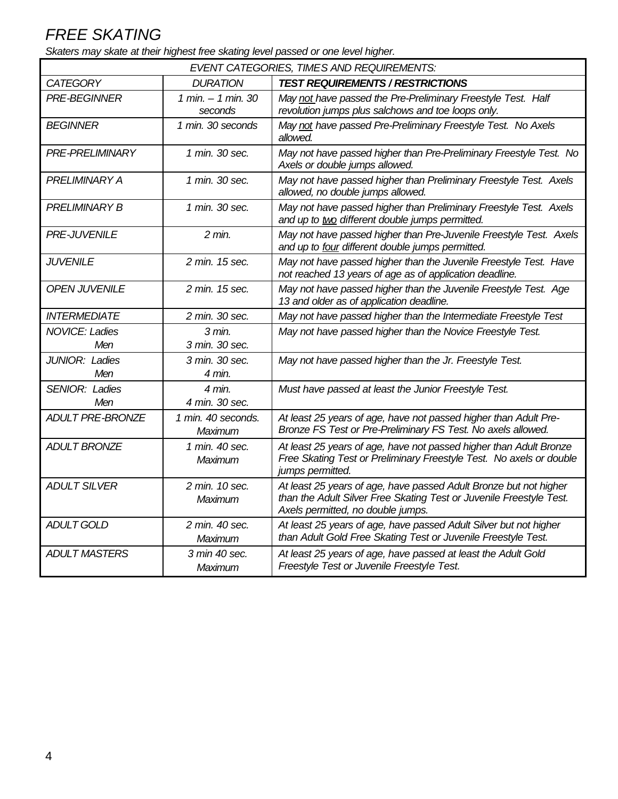# *FREE SKATING*

*Skaters may skate at their highest free skating level passed or one level higher.*

| EVENT CATEGORIES, TIMES AND REQUIREMENTS: |                                 |                                                                                                                                                                               |  |
|-------------------------------------------|---------------------------------|-------------------------------------------------------------------------------------------------------------------------------------------------------------------------------|--|
| <b>CATEGORY</b>                           | <b>DURATION</b>                 | <b>TEST REQUIREMENTS / RESTRICTIONS</b>                                                                                                                                       |  |
| <b>PRE-BEGINNER</b>                       | 1 min. $-$ 1 min. 30<br>seconds | May not have passed the Pre-Preliminary Freestyle Test. Half<br>revolution jumps plus salchows and toe loops only.                                                            |  |
| <b>BEGINNER</b>                           | 1 min. 30 seconds               | May not have passed Pre-Preliminary Freestyle Test. No Axels<br>allowed.                                                                                                      |  |
| <b>PRE-PRELIMINARY</b>                    | 1 min. 30 sec.                  | May not have passed higher than Pre-Preliminary Freestyle Test. No<br>Axels or double jumps allowed.                                                                          |  |
| PRELIMINARY A                             | 1 min. 30 sec.                  | May not have passed higher than Preliminary Freestyle Test. Axels<br>allowed, no double jumps allowed.                                                                        |  |
| <b>PRELIMINARY B</b>                      | 1 min. 30 sec.                  | May not have passed higher than Preliminary Freestyle Test. Axels<br>and up to two different double jumps permitted.                                                          |  |
| <b>PRE-JUVENILE</b>                       | $2 \text{ min}$ .               | May not have passed higher than Pre-Juvenile Freestyle Test. Axels<br>and up to four different double jumps permitted.                                                        |  |
| <b>JUVENILE</b>                           | 2 min. 15 sec.                  | May not have passed higher than the Juvenile Freestyle Test. Have<br>not reached 13 years of age as of application deadline.                                                  |  |
| <b>OPEN JUVENILE</b>                      | 2 min. 15 sec.                  | May not have passed higher than the Juvenile Freestyle Test. Age<br>13 and older as of application deadline.                                                                  |  |
| <b>INTERMEDIATE</b>                       | 2 min. 30 sec.                  | May not have passed higher than the Intermediate Freestyle Test                                                                                                               |  |
| <b>NOVICE: Ladies</b>                     | 3 min.                          | May not have passed higher than the Novice Freestyle Test.                                                                                                                    |  |
| Men                                       | 3 min. 30 sec.                  |                                                                                                                                                                               |  |
| JUNIOR: Ladies                            | 3 min. 30 sec.                  | May not have passed higher than the Jr. Freestyle Test.                                                                                                                       |  |
| Men                                       | 4 min.                          |                                                                                                                                                                               |  |
| SENIOR: Ladies                            | 4 min.                          | Must have passed at least the Junior Freestyle Test.                                                                                                                          |  |
| Men                                       | 4 min. 30 sec.                  |                                                                                                                                                                               |  |
| <b>ADULT PRE-BRONZE</b>                   | 1 min. 40 seconds.<br>Maximum   | At least 25 years of age, have not passed higher than Adult Pre-<br>Bronze FS Test or Pre-Preliminary FS Test. No axels allowed.                                              |  |
| <b>ADULT BRONZE</b>                       | 1 min. 40 sec.<br>Maximum       | At least 25 years of age, have not passed higher than Adult Bronze<br>Free Skating Test or Preliminary Freestyle Test. No axels or double<br>jumps permitted.                 |  |
| <b>ADULT SILVER</b>                       | 2 min. 10 sec.<br>Maximum       | At least 25 years of age, have passed Adult Bronze but not higher<br>than the Adult Silver Free Skating Test or Juvenile Freestyle Test.<br>Axels permitted, no double jumps. |  |
| <b>ADULT GOLD</b>                         | 2 min. 40 sec.<br>Maximum       | At least 25 years of age, have passed Adult Silver but not higher<br>than Adult Gold Free Skating Test or Juvenile Freestyle Test.                                            |  |
| <b>ADULT MASTERS</b>                      | 3 min 40 sec.<br>Maximum        | At least 25 years of age, have passed at least the Adult Gold<br>Freestyle Test or Juvenile Freestyle Test.                                                                   |  |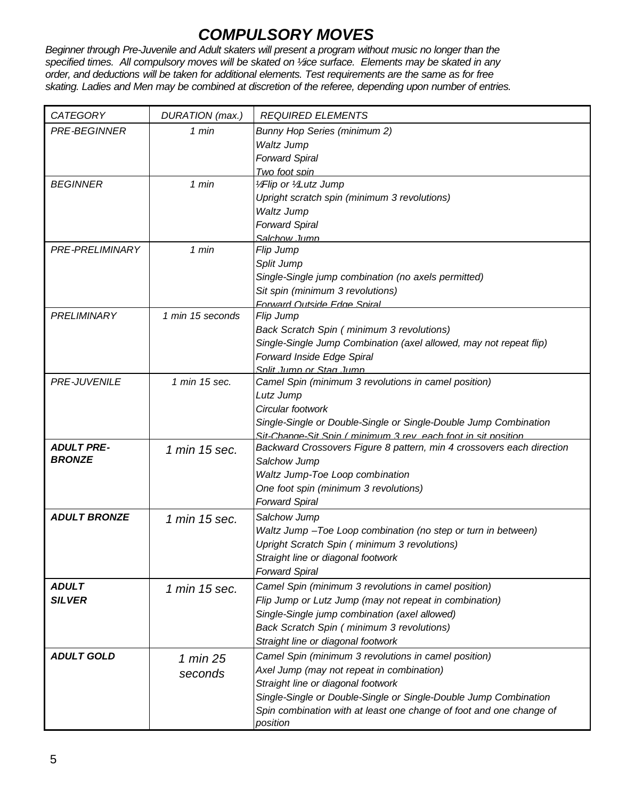# *COMPULSORY MOVES*

*Beginner through Pre-Juvenile and Adult skaters will present a program without music no longer than the*  specified times. All compulsory moves will be skated on <sup>y</sup>ice surface. Elements may be skated in any *order, and deductions will be taken for additional elements. Test requirements are the same as for free skating. Ladies and Men may be combined at discretion of the referee, depending upon number of entries.*

| <b>CATEGORY</b>     | DURATION (max.)  | <b>REQUIRED ELEMENTS</b>                                                                                               |
|---------------------|------------------|------------------------------------------------------------------------------------------------------------------------|
| <b>PRE-BEGINNER</b> | 1 min            | <b>Bunny Hop Series (minimum 2)</b>                                                                                    |
|                     |                  | Waltz Jump                                                                                                             |
|                     |                  | <b>Forward Spiral</b>                                                                                                  |
|                     |                  | Two foot spin                                                                                                          |
| <b>BEGINNER</b>     | 1 min            | <b>//Flip or /Lutz Jump</b>                                                                                            |
|                     |                  | Upright scratch spin (minimum 3 revolutions)                                                                           |
|                     |                  | <b>Waltz Jump</b>                                                                                                      |
|                     |                  | <b>Forward Spiral</b>                                                                                                  |
|                     |                  | Salchow Jumn                                                                                                           |
| PRE-PRELIMINARY     | 1 min            | Flip Jump                                                                                                              |
|                     |                  | Split Jump                                                                                                             |
|                     |                  | Single-Single jump combination (no axels permitted)                                                                    |
|                     |                  | Sit spin (minimum 3 revolutions)                                                                                       |
| <b>PRELIMINARY</b>  | 1 min 15 seconds | Forward Outside Edge Spiral                                                                                            |
|                     |                  | Flip Jump                                                                                                              |
|                     |                  | <b>Back Scratch Spin (minimum 3 revolutions)</b><br>Single-Single Jump Combination (axel allowed, may not repeat flip) |
|                     |                  | Forward Inside Edge Spiral                                                                                             |
|                     |                  | Snlit Jumn or Stag Jumn                                                                                                |
| <b>PRE-JUVENILE</b> | 1 min 15 sec.    | Camel Spin (minimum 3 revolutions in camel position)                                                                   |
|                     |                  | Lutz Jump                                                                                                              |
|                     |                  | Circular footwork                                                                                                      |
|                     |                  | Single-Single or Double-Single or Single-Double Jump Combination                                                       |
|                     |                  | <u> Sit-Change-Sit Snin ( minimum 3 rev each foot in sit nosition</u>                                                  |
| <b>ADULT PRE-</b>   | 1 min 15 sec.    | Backward Crossovers Figure 8 pattern, min 4 crossovers each direction                                                  |
| <b>BRONZE</b>       |                  | Salchow Jump                                                                                                           |
|                     |                  | Waltz Jump-Toe Loop combination                                                                                        |
|                     |                  | One foot spin (minimum 3 revolutions)                                                                                  |
|                     |                  | <b>Forward Spiral</b>                                                                                                  |
| <b>ADULT BRONZE</b> | 1 min 15 sec.    | Salchow Jump                                                                                                           |
|                     |                  | Waltz Jump - Toe Loop combination (no step or turn in between)                                                         |
|                     |                  | Upright Scratch Spin (minimum 3 revolutions)                                                                           |
|                     |                  | Straight line or diagonal footwork                                                                                     |
|                     |                  | Forward Spiral                                                                                                         |
| <b>ADULT</b>        | 1 min 15 sec.    | Camel Spin (minimum 3 revolutions in camel position)                                                                   |
| <b>SILVER</b>       |                  | Flip Jump or Lutz Jump (may not repeat in combination)                                                                 |
|                     |                  | Single-Single jump combination (axel allowed)                                                                          |
|                     |                  | Back Scratch Spin (minimum 3 revolutions)                                                                              |
|                     |                  | Straight line or diagonal footwork                                                                                     |
| <b>ADULT GOLD</b>   | 1 min 25         | Camel Spin (minimum 3 revolutions in camel position)                                                                   |
|                     |                  | Axel Jump (may not repeat in combination)                                                                              |
|                     | seconds          | Straight line or diagonal footwork                                                                                     |
|                     |                  | Single-Single or Double-Single or Single-Double Jump Combination                                                       |
|                     |                  | Spin combination with at least one change of foot and one change of                                                    |
|                     |                  | position                                                                                                               |
|                     |                  |                                                                                                                        |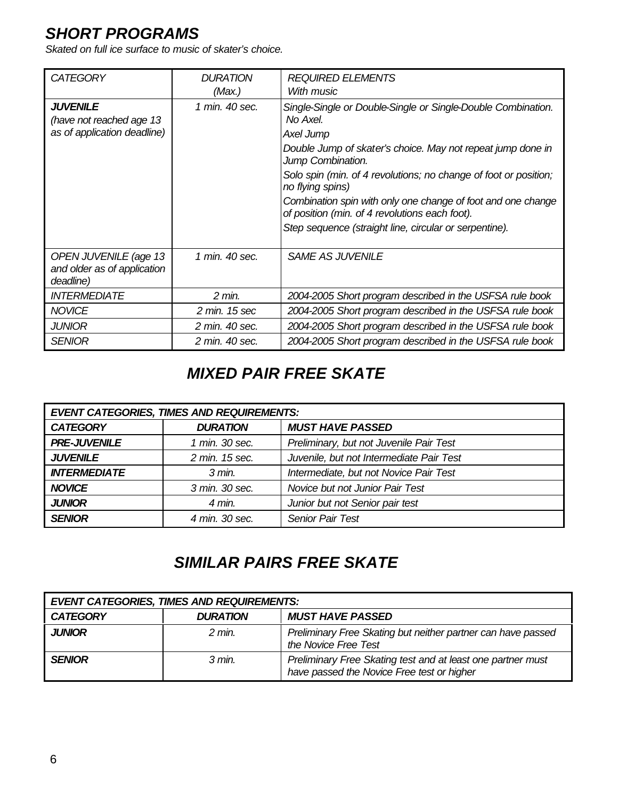## *SHORT PROGRAMS*

*Skated on full ice surface to music of skater's choice.*

| <b>CATEGORY</b>                                                            | <b>DURATION</b>          | <b>REQUIRED ELEMENTS</b>                                                                                                                                           |  |
|----------------------------------------------------------------------------|--------------------------|--------------------------------------------------------------------------------------------------------------------------------------------------------------------|--|
| <b>JUVENILE</b><br>(have not reached age 13<br>as of application deadline) | (Max.)<br>1 min. 40 sec. | With music<br>Single-Single or Double-Single or Single-Double Combination.<br>No Axel.<br>Axel Jump<br>Double Jump of skater's choice. May not repeat jump done in |  |
|                                                                            |                          | Jump Combination.                                                                                                                                                  |  |
|                                                                            |                          | Solo spin (min. of 4 revolutions; no change of foot or position;<br>no flying spins)                                                                               |  |
|                                                                            |                          | Combination spin with only one change of foot and one change<br>of position (min. of 4 revolutions each foot).                                                     |  |
|                                                                            |                          | Step sequence (straight line, circular or serpentine).                                                                                                             |  |
| OPEN JUVENILE (age 13<br>and older as of application<br>deadline)          | 1 min. 40 sec.           | <b>SAME AS JUVENILE</b>                                                                                                                                            |  |
| <b>INTERMEDIATE</b>                                                        | $2 \text{ min}$ .        | 2004-2005 Short program described in the USFSA rule book                                                                                                           |  |
| <b>NOVICE</b>                                                              | 2 min. 15 sec            | 2004-2005 Short program described in the USFSA rule book                                                                                                           |  |
| <b>JUNIOR</b>                                                              | 2 min. 40 sec.           | 2004-2005 Short program described in the USFSA rule book                                                                                                           |  |
| <b>SENIOR</b>                                                              | 2 min. 40 sec.           | 2004-2005 Short program described in the USFSA rule book                                                                                                           |  |

## *MIXED PAIR FREE SKATE*

| <b>EVENT CATEGORIES, TIMES AND REQUIREMENTS:</b> |                                            |                                          |  |
|--------------------------------------------------|--------------------------------------------|------------------------------------------|--|
| <b>CATEGORY</b>                                  | <b>MUST HAVE PASSED</b><br><b>DURATION</b> |                                          |  |
| <b>PRE-JUVENILE</b>                              | 1 min. 30 sec.                             | Preliminary, but not Juvenile Pair Test  |  |
| <b>JUVENILE</b>                                  | 2 min. 15 sec.                             | Juvenile, but not Intermediate Pair Test |  |
| <b>INTERMEDIATE</b>                              | $3 \text{ min}$ .                          | Intermediate, but not Novice Pair Test   |  |
| <b>NOVICE</b>                                    | 3 min. 30 sec.                             | Novice but not Junior Pair Test          |  |
| <b>JUNIOR</b>                                    | $4$ min.                                   | Junior but not Senior pair test          |  |
| <b>SENIOR</b>                                    | 4 min. 30 sec.                             | <b>Senior Pair Test</b>                  |  |

# *SIMILAR PAIRS FREE SKATE*

| <b>EVENT CATEGORIES, TIMES AND REQUIREMENTS:</b> |                                            |                                                                                                           |  |  |
|--------------------------------------------------|--------------------------------------------|-----------------------------------------------------------------------------------------------------------|--|--|
| <b>CATEGORY</b>                                  | <b>MUST HAVE PASSED</b><br><b>DURATION</b> |                                                                                                           |  |  |
| <b>JUNIOR</b>                                    | $2 \text{ min}$                            | Preliminary Free Skating but neither partner can have passed<br>the Novice Free Test                      |  |  |
| <b>SENIOR</b>                                    | $3 \text{ min}$ .                          | Preliminary Free Skating test and at least one partner must<br>have passed the Novice Free test or higher |  |  |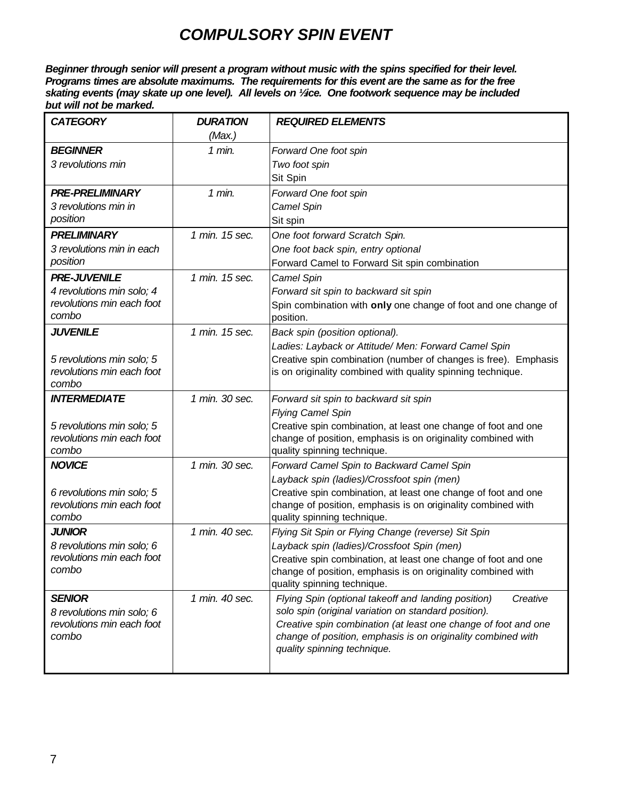## *COMPULSORY SPIN EVENT*

*Beginner through senior will present a program without music with the spins specified for their level. Programs times are absolute maximums. The requirements for this event are the same as for the free skating events (may skate up one level). All levels on ½ ice. One footwork sequence may be included but will not be marked.* 

| <b>CATEGORY</b>                                        | <b>DURATION</b> | <b>REQUIRED ELEMENTS</b>                                                                    |  |  |
|--------------------------------------------------------|-----------------|---------------------------------------------------------------------------------------------|--|--|
|                                                        | (Max.)          |                                                                                             |  |  |
| <b>BEGINNER</b>                                        | 1 min.          | Forward One foot spin                                                                       |  |  |
| 3 revolutions min                                      |                 | Two foot spin                                                                               |  |  |
|                                                        |                 | Sit Spin                                                                                    |  |  |
| <b>PRE-PRELIMINARY</b>                                 | $1$ min.        | Forward One foot spin                                                                       |  |  |
| 3 revolutions min in                                   |                 | Camel Spin                                                                                  |  |  |
| position                                               |                 | Sit spin                                                                                    |  |  |
| <b>PRELIMINARY</b>                                     | 1 min. 15 sec.  | One foot forward Scratch Spin.                                                              |  |  |
| 3 revolutions min in each                              |                 | One foot back spin, entry optional                                                          |  |  |
| position                                               |                 | Forward Camel to Forward Sit spin combination                                               |  |  |
| <b>PRE-JUVENILE</b>                                    | 1 min. 15 sec.  | Camel Spin                                                                                  |  |  |
| 4 revolutions min solo; 4                              |                 | Forward sit spin to backward sit spin                                                       |  |  |
| revolutions min each foot                              |                 | Spin combination with only one change of foot and one change of                             |  |  |
| combo                                                  |                 | position.                                                                                   |  |  |
| <b>JUVENILE</b>                                        | 1 min. 15 sec.  | Back spin (position optional).                                                              |  |  |
|                                                        |                 | Ladies: Layback or Attitude/ Men: Forward Camel Spin                                        |  |  |
| 5 revolutions min solo; 5                              |                 | Creative spin combination (number of changes is free). Emphasis                             |  |  |
| revolutions min each foot                              |                 | is on originality combined with quality spinning technique.                                 |  |  |
| combo                                                  |                 |                                                                                             |  |  |
| <b>INTERMEDIATE</b>                                    | 1 min. 30 sec.  | Forward sit spin to backward sit spin                                                       |  |  |
|                                                        |                 | <b>Flying Camel Spin</b>                                                                    |  |  |
| 5 revolutions min solo; 5                              |                 | Creative spin combination, at least one change of foot and one                              |  |  |
| revolutions min each foot                              |                 | change of position, emphasis is on originality combined with                                |  |  |
| combo                                                  |                 | quality spinning technique.                                                                 |  |  |
| <b>NOVICE</b>                                          | 1 min. 30 sec.  | Forward Camel Spin to Backward Camel Spin                                                   |  |  |
|                                                        |                 | Layback spin (ladies)/Crossfoot spin (men)                                                  |  |  |
| 6 revolutions min solo; 5<br>revolutions min each foot |                 | Creative spin combination, at least one change of foot and one                              |  |  |
| combo                                                  |                 | change of position, emphasis is on originality combined with<br>quality spinning technique. |  |  |
| <b>JUNIOR</b>                                          | 1 min. 40 sec.  | Flying Sit Spin or Flying Change (reverse) Sit Spin                                         |  |  |
| 8 revolutions min solo; 6                              |                 | Layback spin (ladies)/Crossfoot Spin (men)                                                  |  |  |
| revolutions min each foot                              |                 | Creative spin combination, at least one change of foot and one                              |  |  |
| combo                                                  |                 | change of position, emphasis is on originality combined with                                |  |  |
|                                                        |                 | quality spinning technique.                                                                 |  |  |
| <b>SENIOR</b>                                          | 1 min. 40 sec.  | Flying Spin (optional takeoff and landing position)<br>Creative                             |  |  |
| 8 revolutions min solo; 6                              |                 | solo spin (original variation on standard position).                                        |  |  |
| revolutions min each foot                              |                 | Creative spin combination (at least one change of foot and one                              |  |  |
| combo                                                  |                 | change of position, emphasis is on originality combined with                                |  |  |
|                                                        |                 | quality spinning technique.                                                                 |  |  |
|                                                        |                 |                                                                                             |  |  |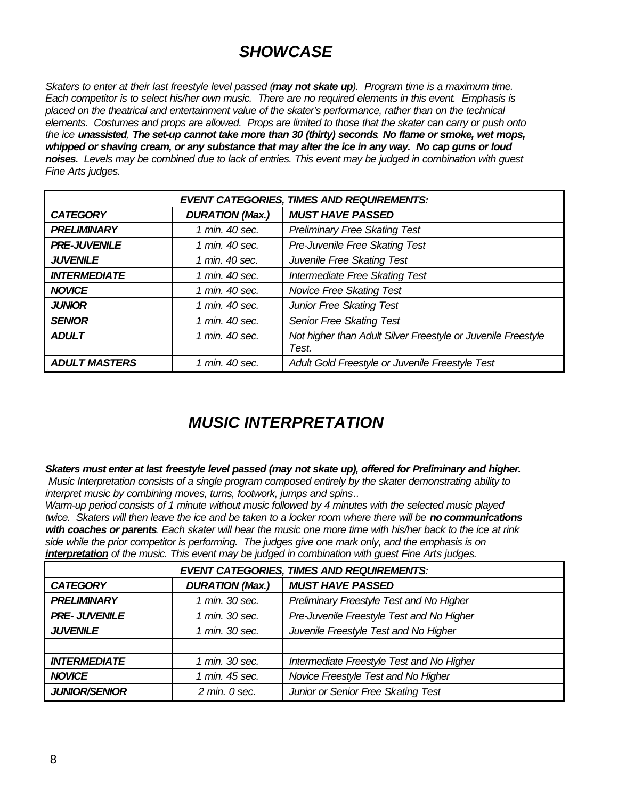# *SHOWCASE*

*Skaters to enter at their last freestyle level passed (may not skate up). Program time is a maximum time. Each competitor is to select his/her own music. There are no required elements in this event. Emphasis is placed on the theatrical and entertainment value of the skater's performance, rather than on the technical elements. Costumes and props are allowed. Props are limited to those that the skater can carry or push onto the ice unassisted, The set-up cannot take more than 30 (thirty) seconds. No flame or smoke, wet mops, whipped or shaving cream, or any substance that may alter the ice in any way. No cap guns or loud noises. Levels may be combined due to lack of entries. This event may be judged in combination with guest Fine Arts judges.*

| <b>EVENT CATEGORIES, TIMES AND REQUIREMENTS:</b> |                        |                                                              |  |
|--------------------------------------------------|------------------------|--------------------------------------------------------------|--|
| <b>CATEGORY</b>                                  | <b>DURATION (Max.)</b> | <b>MUST HAVE PASSED</b>                                      |  |
| <b>PRELIMINARY</b>                               | 1 min. 40 sec.         | <b>Preliminary Free Skating Test</b>                         |  |
| <b>PRE-JUVENILE</b>                              | 1 min. 40 sec.         | Pre-Juvenile Free Skating Test                               |  |
| <b>JUVENILE</b>                                  | 1 min. 40 sec.         | Juvenile Free Skating Test                                   |  |
| <b>INTERMEDIATE</b>                              | 1 min. 40 sec.         | Intermediate Free Skating Test                               |  |
| <b>NOVICE</b>                                    | 1 min. 40 sec.         | <b>Novice Free Skating Test</b>                              |  |
| <b>JUNIOR</b>                                    | 1 min. 40 sec.         | <b>Junior Free Skating Test</b>                              |  |
| <b>SENIOR</b>                                    | 1 min. 40 sec.         | <b>Senior Free Skating Test</b>                              |  |
| <b>ADULT</b>                                     | 1 min. 40 sec.         | Not higher than Adult Silver Freestyle or Juvenile Freestyle |  |
|                                                  |                        | Test.                                                        |  |
| <b>ADULT MASTERS</b>                             | 1 min. 40 sec.         | Adult Gold Freestyle or Juvenile Freestyle Test              |  |

## *MUSIC INTERPRETATION*

*Skaters must enter at last freestyle level passed (may not skate up), offered for Preliminary and higher. Music Interpretation consists of a single program composed entirely by the skater demonstrating ability to interpret music by combining moves, turns, footwork, jumps and spins..*

*Warm-up period consists of 1 minute without music followed by 4 minutes with the selected music played twice. Skaters will then leave the ice and be taken to a locker room where there will be no communications with coaches or parents. Each skater will hear the music one more time with his/her back to the ice at rink side while the prior competitor is performing. The judges give one mark only, and the emphasis is on interpretation of the music. This event may be judged in combination with guest Fine Arts judges.*

| <b>EVENT CATEGORIES, TIMES AND REQUIREMENTS:</b> |                        |                                           |  |
|--------------------------------------------------|------------------------|-------------------------------------------|--|
| <b>CATEGORY</b>                                  | <b>DURATION (Max.)</b> | <b>MUST HAVE PASSED</b>                   |  |
| <b>PRELIMINARY</b>                               | 1 min. 30 sec.         | Preliminary Freestyle Test and No Higher  |  |
| <b>PRE-JUVENILE</b>                              | 1 min. 30 sec.         | Pre-Juvenile Freestyle Test and No Higher |  |
| <b>JUVENILE</b>                                  | 1 min. 30 sec.         | Juvenile Freestyle Test and No Higher     |  |
|                                                  |                        |                                           |  |
| <b>INTERMEDIATE</b>                              | 1 min. 30 sec.         | Intermediate Freestyle Test and No Higher |  |
| <b>NOVICE</b>                                    | 1 min. 45 sec.         | Novice Freestyle Test and No Higher       |  |
| <b>JUNIOR/SENIOR</b>                             | $2$ min. $0$ sec.      | Junior or Senior Free Skating Test        |  |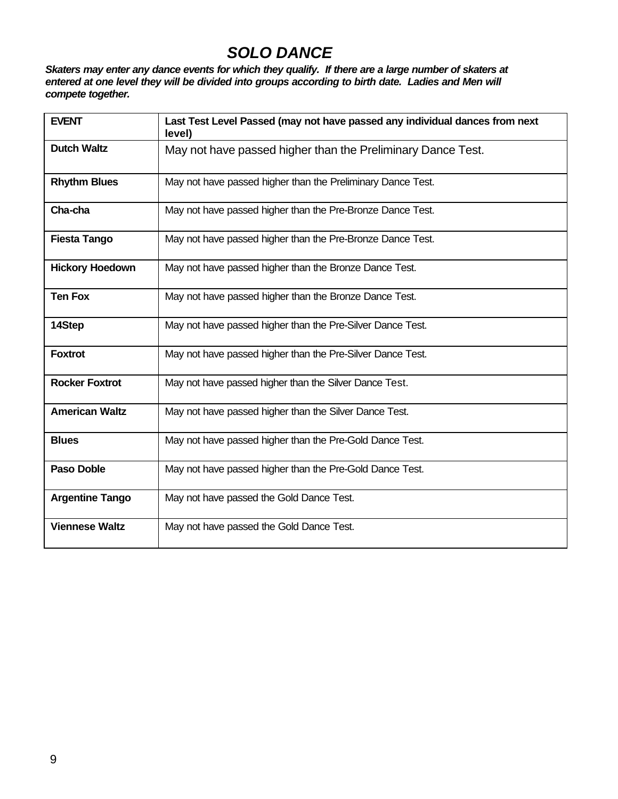# *SOLO DANCE*

*Skaters may enter any dance events for which they qualify. If there are a large number of skaters at*  entered at one level they will be divided into groups according to birth date. Ladies and Men will *compete together.*

| <b>EVENT</b>           | Last Test Level Passed (may not have passed any individual dances from next<br>level) |
|------------------------|---------------------------------------------------------------------------------------|
| <b>Dutch Waltz</b>     | May not have passed higher than the Preliminary Dance Test.                           |
| <b>Rhythm Blues</b>    | May not have passed higher than the Preliminary Dance Test.                           |
| Cha-cha                | May not have passed higher than the Pre-Bronze Dance Test.                            |
| <b>Fiesta Tango</b>    | May not have passed higher than the Pre-Bronze Dance Test.                            |
| <b>Hickory Hoedown</b> | May not have passed higher than the Bronze Dance Test.                                |
| <b>Ten Fox</b>         | May not have passed higher than the Bronze Dance Test.                                |
| 14Step                 | May not have passed higher than the Pre-Silver Dance Test.                            |
| <b>Foxtrot</b>         | May not have passed higher than the Pre-Silver Dance Test.                            |
| <b>Rocker Foxtrot</b>  | May not have passed higher than the Silver Dance Test.                                |
| <b>American Waltz</b>  | May not have passed higher than the Silver Dance Test.                                |
| <b>Blues</b>           | May not have passed higher than the Pre-Gold Dance Test.                              |
| <b>Paso Doble</b>      | May not have passed higher than the Pre-Gold Dance Test.                              |
| <b>Argentine Tango</b> | May not have passed the Gold Dance Test.                                              |
| <b>Viennese Waltz</b>  | May not have passed the Gold Dance Test.                                              |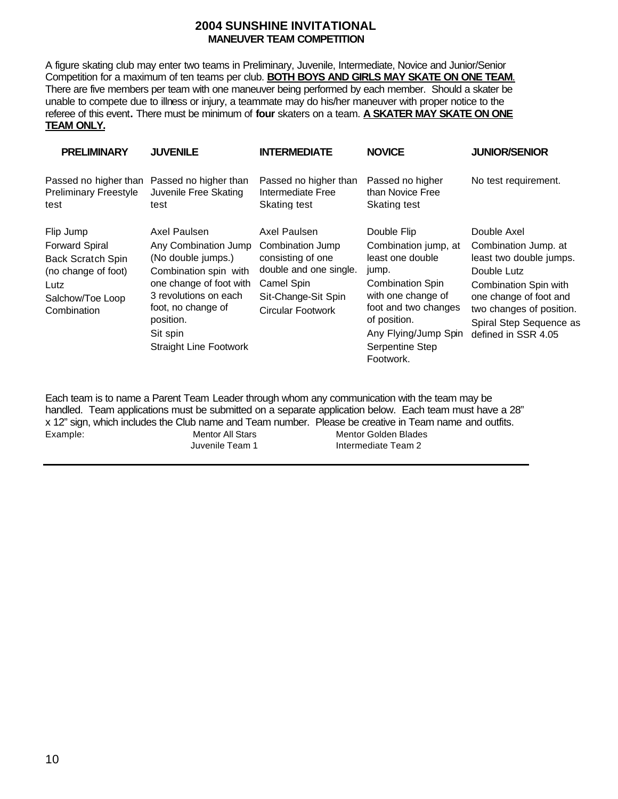#### **2004 SUNSHINE INVITATIONAL MANEUVER TEAM COMPETITION**

A figure skating club may enter two teams in Preliminary, Juvenile, Intermediate, Novice and Junior/Senior Competition for a maximum of ten teams per club. **BOTH BOYS AND GIRLS MAY SKATE ON ONE TEAM**. There are five members per team with one maneuver being performed by each member. Should a skater be unable to compete due to illness or injury, a teammate may do his/her maneuver with proper notice to the referee of this event**.** There must be minimum of **four** skaters on a team. **A SKATER MAY SKATE ON ONE TEAM ONLY.** 

| <b>PRELIMINARY</b>                                                                                                        | <b>JUVENILE</b>                                                                                                                                                                                                         | <b>INTERMEDIATE</b>                                                                                                                       | <b>NOVICE</b>                                                                                                                                                                                                     | <b>JUNIOR/SENIOR</b>                                                                                                                                                                                           |
|---------------------------------------------------------------------------------------------------------------------------|-------------------------------------------------------------------------------------------------------------------------------------------------------------------------------------------------------------------------|-------------------------------------------------------------------------------------------------------------------------------------------|-------------------------------------------------------------------------------------------------------------------------------------------------------------------------------------------------------------------|----------------------------------------------------------------------------------------------------------------------------------------------------------------------------------------------------------------|
| Passed no higher than<br><b>Preliminary Freestyle</b><br>test                                                             | Passed no higher than<br>Juvenile Free Skating<br>test                                                                                                                                                                  | Passed no higher than<br>Intermediate Free<br>Skating test                                                                                | Passed no higher<br>than Novice Free<br>Skating test                                                                                                                                                              | No test requirement.                                                                                                                                                                                           |
| Flip Jump<br><b>Forward Spiral</b><br>Back Scratch Spin<br>(no change of foot)<br>Lutz<br>Salchow/Toe Loop<br>Combination | Axel Paulsen<br>Any Combination Jump<br>(No double jumps.)<br>Combination spin with<br>one change of foot with<br>3 revolutions on each<br>foot, no change of<br>position.<br>Sit spin<br><b>Straight Line Footwork</b> | Axel Paulsen<br>Combination Jump<br>consisting of one<br>double and one single.<br>Camel Spin<br>Sit-Change-Sit Spin<br>Circular Footwork | Double Flip<br>Combination jump, at<br>least one double<br>jump.<br><b>Combination Spin</b><br>with one change of<br>foot and two changes<br>of position.<br>Any Flying/Jump Spin<br>Serpentine Step<br>Footwork. | Double Axel<br>Combination Jump. at<br>least two double jumps.<br>Double Lutz<br>Combination Spin with<br>one change of foot and<br>two changes of position.<br>Spiral Step Sequence as<br>defined in SSR 4.05 |

Each team is to name a Parent Team Leader through whom any communication with the team may be handled. Team applications must be submitted on a separate application below. Each team must have a 28" x 12" sign, which includes the Club name and Team number. Please be creative in Team name and outfits.<br>Example: Mentor All Stars Mentor Golden Blades Example: Mentor All Stars Mentor Golden Blades Juvenile Team 1 **Intermediate Team 2**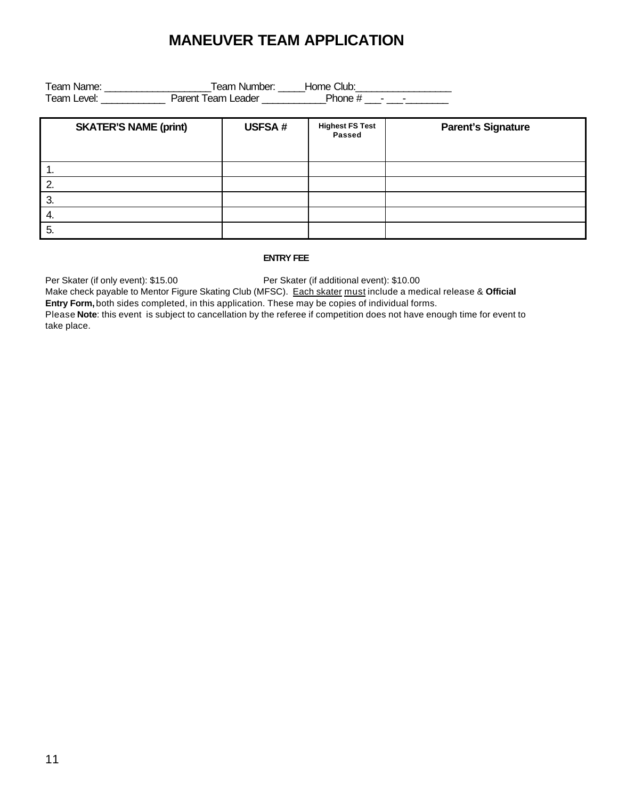## **MANEUVER TEAM APPLICATION**

| Team Name:  | Team Number:       | Home Club: |  |
|-------------|--------------------|------------|--|
| Team Level: | Parent Team Leader | Phone #    |  |

| <b>SKATER'S NAME (print)</b> | <b>USFSA#</b> | <b>Highest FS Test</b><br><b>Passed</b> | <b>Parent's Signature</b> |
|------------------------------|---------------|-----------------------------------------|---------------------------|
| . .                          |               |                                         |                           |
| 2.                           |               |                                         |                           |
| 3.                           |               |                                         |                           |
| -4.                          |               |                                         |                           |
| 5.                           |               |                                         |                           |

#### **ENTRY FEE**

Per Skater (if only event): \$15.00 Per Skater (if additional event): \$10.00

Make check payable to Mentor Figure Skating Club (MFSC). Each skater must include a medical release & **Official Entry Form,** both sides completed, in this application. These may be copies of individual forms.

Please **Note**: this event is subject to cancellation by the referee if competition does not have enough time for event to take place.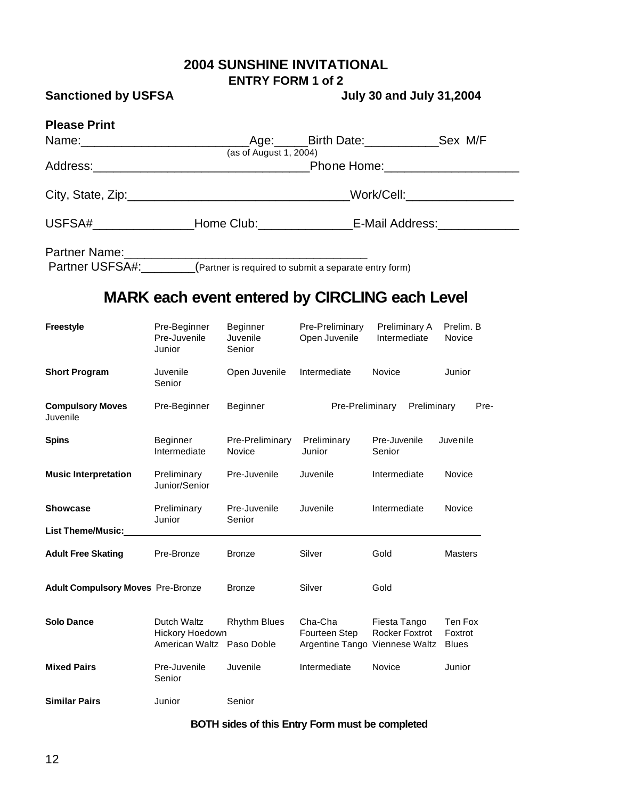### **2004 SUNSHINE INVITATIONAL**

### **ENTRY FORM 1 of 2**

| <b>Sanctioned by USFSA</b>               |                                                                                  |                                | <b>July 30 and July 31,2004</b>                            |                                |                                     |
|------------------------------------------|----------------------------------------------------------------------------------|--------------------------------|------------------------------------------------------------|--------------------------------|-------------------------------------|
| <b>Please Print</b>                      |                                                                                  | (as of August 1, 2004)         |                                                            |                                | _Phone Home:_______________________ |
|                                          | _Work/Cell:___________________                                                   |                                |                                                            |                                |                                     |
|                                          | USFSA#___________________Home Club:____________________E-Mail Address:__________ |                                |                                                            |                                |                                     |
| Partner Name: 2008                       | Partner USFSA#:________(Partner is required to submit a separate entry form)     |                                |                                                            |                                |                                     |
|                                          |                                                                                  |                                | <b>MARK each event entered by CIRCLING each Level</b>      |                                |                                     |
| <b>Freestyle</b>                         | Pre-Beginner<br>Pre-Juvenile<br>Junior                                           | Beginner<br>Juvenile<br>Senior | Pre-Preliminary<br>Open Juvenile                           | Preliminary A<br>Intermediate  | Prelim. B<br>Novice                 |
| <b>Short Program</b>                     | Juvenile<br>Senior                                                               | Open Juvenile                  | Intermediate                                               | Novice                         | Junior                              |
| <b>Compulsory Moves</b><br>Juvenile      | Pre-Beginner                                                                     | Beginner                       | Pre-Preliminary                                            | Preliminary                    | Pre-                                |
| <b>Spins</b>                             | Beginner<br>Intermediate                                                         | Pre-Preliminary<br>Novice      | Preliminary<br>Junior                                      | Pre-Juvenile<br>Senior         | Juvenile                            |
| <b>Music Interpretation</b>              | Preliminary<br>Junior/Senior                                                     | Pre-Juvenile                   | Juvenile                                                   | Intermediate                   | Novice                              |
| <b>Showcase</b>                          | Preliminary<br>Junior                                                            | Pre-Juvenile<br>Senior         | Juvenile                                                   | Intermediate                   | Novice                              |
| List Theme/Music:                        |                                                                                  |                                |                                                            |                                |                                     |
| <b>Adult Free Skating</b>                | Pre-Bronze                                                                       | <b>Bronze</b>                  | Silver                                                     | Gold                           | <b>Masters</b>                      |
| <b>Adult Compulsory Moves Pre-Bronze</b> |                                                                                  | <b>Bronze</b>                  | Silver                                                     | Gold                           |                                     |
| <b>Solo Dance</b>                        | Dutch Waltz<br>Hickory Hoedown<br>American Waltz Paso Doble                      | <b>Rhythm Blues</b>            | Cha-Cha<br>Fourteen Step<br>Argentine Tango Viennese Waltz | Fiesta Tango<br>Rocker Foxtrot | Ten Fox<br>Foxtrot<br><b>Blues</b>  |
| <b>Mixed Pairs</b>                       | Pre-Juvenile<br>Senior                                                           | Juvenile                       | Intermediate                                               | Novice                         | Junior                              |

**Similar Pairs Junior** Senior

### **BOTH sides of this Entry Form must be completed**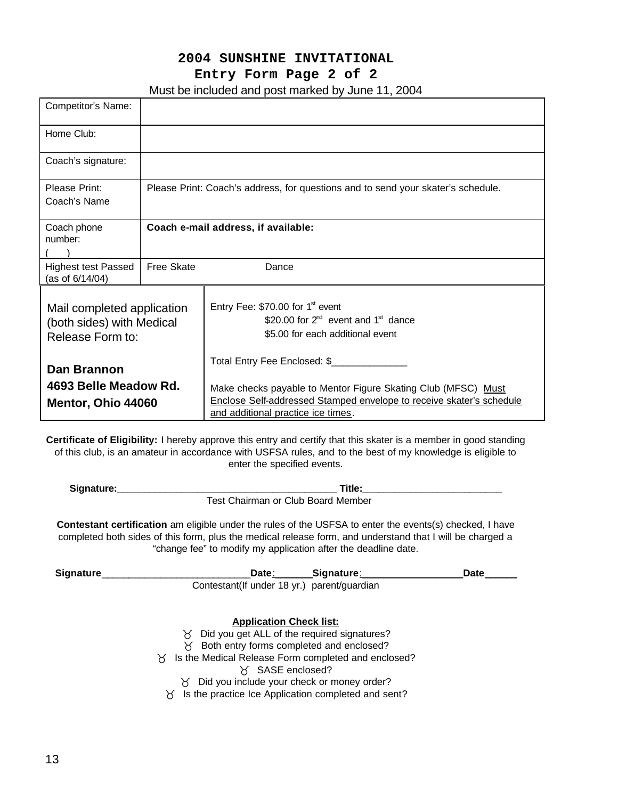#### **2004 SUNSHINE INVITATIONAL**

### **Entry Form Page 2 of 2**

Must be included and post marked by June 11, 2004

|                                                                             |                                                                                  | $111001$ by indicated and poor manted by band in Eq. 1                                                                                                                                                      |  |
|-----------------------------------------------------------------------------|----------------------------------------------------------------------------------|-------------------------------------------------------------------------------------------------------------------------------------------------------------------------------------------------------------|--|
| Competitor's Name:                                                          |                                                                                  |                                                                                                                                                                                                             |  |
| Home Club:                                                                  |                                                                                  |                                                                                                                                                                                                             |  |
| Coach's signature:                                                          |                                                                                  |                                                                                                                                                                                                             |  |
| Please Print:<br>Coach's Name                                               | Please Print: Coach's address, for questions and to send your skater's schedule. |                                                                                                                                                                                                             |  |
| Coach phone<br>number:                                                      | Coach e-mail address, if available:                                              |                                                                                                                                                                                                             |  |
| <b>Highest test Passed</b><br>(as of $6/14/04$ )                            | Free Skate                                                                       | Dance                                                                                                                                                                                                       |  |
| Mail completed application<br>(both sides) with Medical<br>Release Form to: |                                                                                  | Entry Fee: \$70.00 for 1 <sup>st</sup> event<br>\$20.00 for $2^{nd}$ event and $1^{st}$ dance<br>\$5.00 for each additional event                                                                           |  |
| <b>Dan Brannon</b><br>4693 Belle Meadow Rd.<br>Mentor, Ohio 44060           |                                                                                  | Total Entry Fee Enclosed: \$<br>Make checks payable to Mentor Figure Skating Club (MFSC) Must<br>Enclose Self-addressed Stamped envelope to receive skater's schedule<br>and additional practice ice times. |  |

**Certificate of Eligibility:** I hereby approve this entry and certify that this skater is a member in good standing of this club, is an amateur in accordance with USFSA rules, and to the best of my knowledge is eligible to enter the specified events.

| Signature: | Title:                             |  |
|------------|------------------------------------|--|
|            | Test Chairman or Club Board Member |  |

**Contestant certification** am eligible under the rules of the USFSA to enter the events(s) checked, I have completed both sides of this form, plus the medical release form, and understand that I will be charged a "change fee" to modify my application after the deadline date.

| Signature_ | Date:                                                        | _Signature <u>:__</u> | <b>Date</b> |
|------------|--------------------------------------------------------------|-----------------------|-------------|
|            | Contestant(If under 18 yr.) parent/guardian                  |                       |             |
|            |                                                              |                       |             |
|            | <b>Application Check list:</b>                               |                       |             |
|            | Did you get ALL of the required signatures?<br>x             |                       |             |
|            | Both entry forms completed and enclosed?<br>Χ                |                       |             |
|            | 8 Is the Medical Release Form completed and enclosed?        |                       |             |
|            | X SASE enclosed?                                             |                       |             |
|            | 8 Did you include your check or money order?                 |                       |             |
|            | $\gamma$ Is the practice Ice Application completed and sent? |                       |             |
|            |                                                              |                       |             |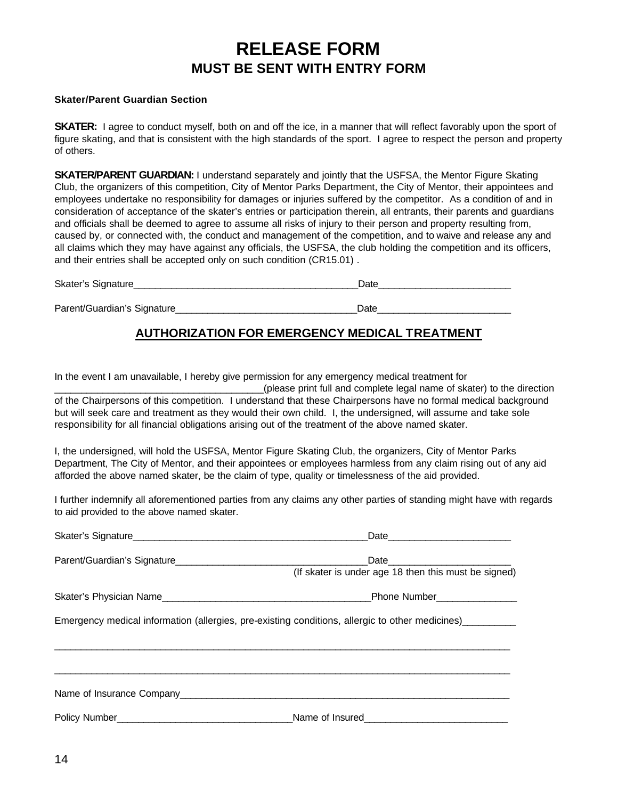## **RELEASE FORM MUST BE SENT WITH ENTRY FORM**

#### **Skater/Parent Guardian Section**

**SKATER:** I agree to conduct myself, both on and off the ice, in a manner that will reflect favorably upon the sport of figure skating, and that is consistent with the high standards of the sport. I agree to respect the person and property of others.

**SKATER/PARENT GUARDIAN:** I understand separately and jointly that the USFSA, the Mentor Figure Skating Club, the organizers of this competition, City of Mentor Parks Department, the City of Mentor, their appointees and employees undertake no responsibility for damages or injuries suffered by the competitor. As a condition of and in consideration of acceptance of the skater's entries or participation therein, all entrants, their parents and guardians and officials shall be deemed to agree to assume all risks of injury to their person and property resulting from, caused by, or connected with, the conduct and management of the competition, and to waive and release any and all claims which they may have against any officials, the USFSA, the club holding the competition and its officers, and their entries shall be accepted only on such condition (CR15.01) .

| $\sim$<br>Skater's<br>√s Siɑnature | Date |
|------------------------------------|------|
|                                    |      |
| Parent/Guardian's Signature        | Date |

#### **AUTHORIZATION FOR EMERGENCY MEDICAL TREATMENT**

In the event I am unavailable, I hereby give permission for any emergency medical treatment for

\_\_\_\_\_\_\_\_\_\_\_\_\_\_\_\_\_\_\_\_\_\_\_\_\_\_\_\_\_\_\_\_\_\_\_\_\_\_\_(please print full and complete legal name of skater) to the direction of the Chairpersons of this competition. I understand that these Chairpersons have no formal medical background but will seek care and treatment as they would their own child. I, the undersigned, will assume and take sole responsibility for all financial obligations arising out of the treatment of the above named skater.

I, the undersigned, will hold the USFSA, Mentor Figure Skating Club, the organizers, City of Mentor Parks Department, The City of Mentor, and their appointees or employees harmless from any claim rising out of any aid afforded the above named skater, be the claim of type, quality or timelessness of the aid provided.

I further indemnify all aforementioned parties from any claims any other parties of standing might have with regards to aid provided to the above named skater.

|                                                                                                           | (If skater is under age 18 then this must be signed) |
|-----------------------------------------------------------------------------------------------------------|------------------------------------------------------|
|                                                                                                           |                                                      |
| Emergency medical information (allergies, pre-existing conditions, allergic to other medicines)__________ |                                                      |
|                                                                                                           |                                                      |
|                                                                                                           |                                                      |
|                                                                                                           |                                                      |